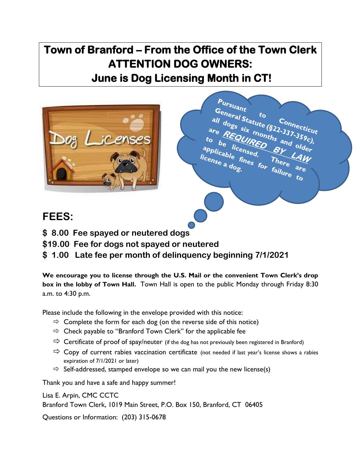## **Town of Branford – From the Office of the Town Clerk ATTENTION DOG OWNERS: June is Dog Licensing Month in CT!**



## Pursuant Fursuant<br>all dogs six months and older<br>the REQUIRED and older the lines of the COURED and older the lines. all dogs six to<br>are REQUIRED and older<br>o be icensed. By and older<br>plicable and older C<sub>onnecticut</sub><br>2-337-356 are REQUIRED and  $b_{\rm e}$   $b_{\rm c}$   $b_{\rm c}$   $b_{\rm c}$   $b_{\rm c}$   $b_{\rm c}$   $b_{\rm c}$   $b_{\rm c}$ o be licensed. By All applicable fines for failure to rplicable fil<br>license a dog. LAW

## **FEES:**

- **\$ 8.00 Fee spayed or neutered dogs**
- **\$19.00 Fee for dogs not spayed or neutered**
- **\$ 1.00 Late fee per month of delinquency beginning 7/1/2021**

**We encourage you to license through the U.S. Mail or the convenient Town Clerk's drop box in the lobby of Town Hall.** Town Hall is open to the public Monday through Friday 8:30 a.m. to 4:30 p.m.

Please include the following in the envelope provided with this notice:

- $\Rightarrow$  Complete the form for each dog (on the reverse side of this notice)
- $\Rightarrow$  Check payable to "Branford Town Clerk" for the applicable fee
- $\Rightarrow$  Certificate of proof of spay/neuter (if the dog has not previously been registered in Branford)
- $\Rightarrow$  Copy of current rabies vaccination certificate (not needed if last year's license shows a rabies expiration of 7/1/2021 or later)
- $\Rightarrow$  Self-addressed, stamped envelope so we can mail you the new license(s)

Thank you and have a safe and happy summer!

Lisa E. Arpin, CMC CCTC Branford Town Clerk, 1019 Main Street, P.O. Box 150, Branford, CT 06405

Questions or Information: (203) 315-0678